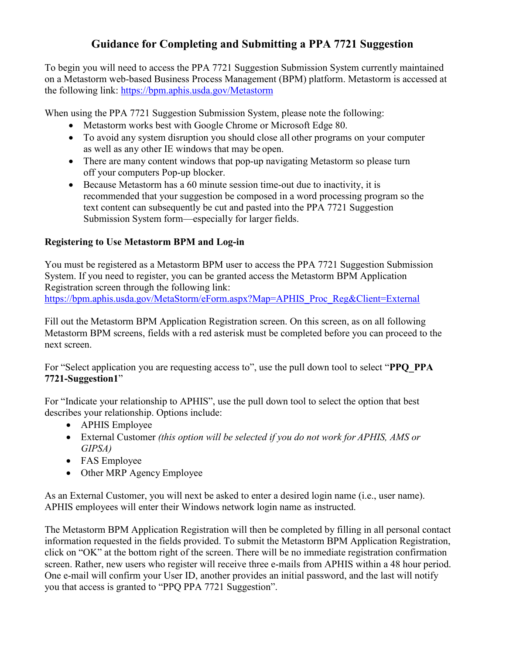# **Guidance for Completing and Submitting a PPA 7721 Suggestion**

To begin you will need to access the PPA 7721 Suggestion Submission System currently maintained on a Metastorm web-based Business Process Management (BPM) platform. Metastorm is accessed at the following link:<https://bpm.aphis.usda.gov/Metastorm>

When using the PPA 7721 Suggestion Submission System, please note the following:

- Metastorm works best with Google Chrome or Microsoft Edge 80.
- To avoid any system disruption you should close all other programs on your computer as well as any other IE windows that may be open.
- There are many content windows that pop-up navigating Metastorm so please turn off your computers Pop-up blocker.
- Because Metastorm has a 60 minute session time-out due to inactivity, it is recommended that your suggestion be composed in a word processing program so the text content can subsequently be cut and pasted into the PPA 7721 Suggestion Submission System form—especially for larger fields.

## **Registering to Use Metastorm BPM and Log-in**

You must be registered as a Metastorm BPM user to access the PPA 7721 Suggestion Submission System. If you need to register, you can be granted access the Metastorm BPM Application Registration screen through the following link: [https://bpm.aphis.usda.gov/MetaStorm/eForm.aspx?Map=APHIS\\_Proc\\_Reg&Client=External](https://bpm.aphis.usda.gov/MetaStorm/eForm.aspx?Map=APHIS_Proc_Reg&Client=External)

Fill out the Metastorm BPM Application Registration screen. On this screen, as on all following Metastorm BPM screens, fields with a red asterisk must be completed before you can proceed to the next screen.

For "Select application you are requesting access to", use the pull down tool to select "**PPQ\_PPA 7721-Suggestion1**"

For "Indicate your relationship to APHIS", use the pull down tool to select the option that best describes your relationship. Options include:

- APHIS Employee
- External Customer *(this option will be selected if you do not work for APHIS, AMS or GIPSA)*
- FAS Employee
- Other MRP Agency Employee

As an External Customer, you will next be asked to enter a desired login name (i.e., user name). APHIS employees will enter their Windows network login name as instructed.

The Metastorm BPM Application Registration will then be completed by filling in all personal contact information requested in the fields provided. To submit the Metastorm BPM Application Registration, click on "OK" at the bottom right of the screen. There will be no immediate registration confirmation screen. Rather, new users who register will receive three e-mails from APHIS within a 48 hour period. One e-mail will confirm your User ID, another provides an initial password, and the last will notify you that access is granted to "PPQ PPA 7721 Suggestion".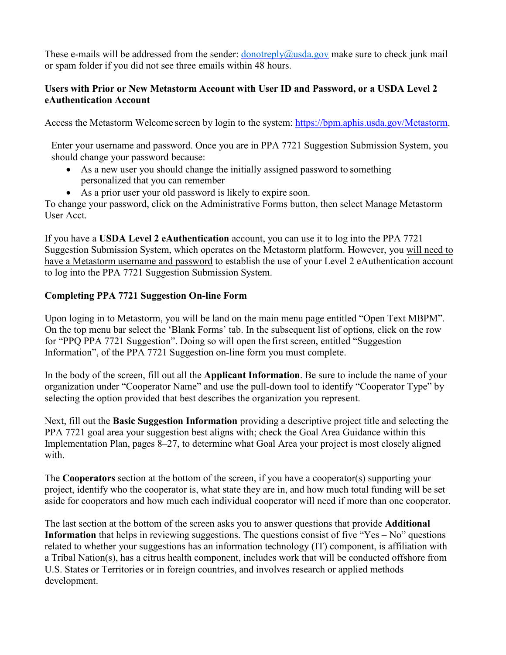These e-mails will be addressed from the sender:  $\frac{1}{2}$  donotreply  $\frac{1}{2}$  and  $\frac{1}{2}$  and  $\frac{1}{2}$  and  $\frac{1}{2}$  and  $\frac{1}{2}$  and  $\frac{1}{2}$  and  $\frac{1}{2}$  and  $\frac{1}{2}$  and  $\frac{1}{2}$  and  $\frac{1}{2}$  and  $\frac{1}{2}$  a or spam folder if you did not see three emails within 48 hours.

### **Users with Prior or New Metastorm Account with User ID and Password, or a USDA Level 2 eAuthentication Account**

Access the Metastorm Welcome screen by login to the system: [https://bpm.aphis.usda.gov/Metastorm.](https://bpm.aphis.usda.gov/Metastorm)

Enter your username and password. Once you are in PPA 7721 Suggestion Submission System, you should change your password because:

- As a new user you should change the initially assigned password to something personalized that you can remember
- As a prior user your old password is likely to expire soon.

To change your password, click on the Administrative Forms button, then select Manage Metastorm User Acct.

If you have a **USDA Level 2 eAuthentication** account, you can use it to log into the PPA 7721 Suggestion Submission System, which operates on the Metastorm platform. However, you will need to have a Metastorm username and password to establish the use of your Level 2 eAuthentication account to log into the PPA 7721 Suggestion Submission System.

## **Completing PPA 7721 Suggestion On-line Form**

Upon loging in to Metastorm, you will be land on the main menu page entitled "Open Text MBPM". On the top menu bar select the 'Blank Forms' tab. In the subsequent list of options, click on the row for "PPQ PPA 7721 Suggestion". Doing so will open the first screen, entitled "Suggestion Information", of the PPA 7721 Suggestion on-line form you must complete.

In the body of the screen, fill out all the **Applicant Information**. Be sure to include the name of your organization under "Cooperator Name" and use the pull-down tool to identify "Cooperator Type" by selecting the option provided that best describes the organization you represent.

Next, fill out the **Basic Suggestion Information** providing a descriptive project title and selecting the PPA 7721 goal area your suggestion best aligns with; check the Goal Area Guidance within this Implementation Plan, pages 8–27, to determine what Goal Area your project is most closely aligned with.

The **Cooperators** section at the bottom of the screen, if you have a cooperator(s) supporting your project, identify who the cooperator is, what state they are in, and how much total funding will be set aside for cooperators and how much each individual cooperator will need if more than one cooperator.

The last section at the bottom of the screen asks you to answer questions that provide **Additional Information** that helps in reviewing suggestions. The questions consist of five "Yes – No" questions related to whether your suggestions has an information technology (IT) component, is affiliation with a Tribal Nation(s), has a citrus health component, includes work that will be conducted offshore from U.S. States or Territories or in foreign countries, and involves research or applied methods development.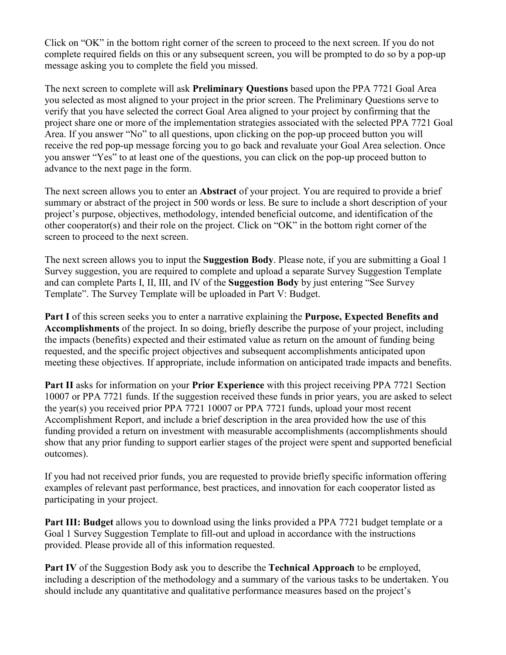Click on "OK" in the bottom right corner of the screen to proceed to the next screen. If you do not complete required fields on this or any subsequent screen, you will be prompted to do so by a pop-up message asking you to complete the field you missed.

The next screen to complete will ask **Preliminary Questions** based upon the PPA 7721 Goal Area you selected as most aligned to your project in the prior screen. The Preliminary Questions serve to verify that you have selected the correct Goal Area aligned to your project by confirming that the project share one or more of the implementation strategies associated with the selected PPA 7721 Goal Area. If you answer "No" to all questions, upon clicking on the pop-up proceed button you will receive the red pop-up message forcing you to go back and revaluate your Goal Area selection. Once you answer "Yes" to at least one of the questions, you can click on the pop-up proceed button to advance to the next page in the form.

The next screen allows you to enter an **Abstract** of your project. You are required to provide a brief summary or abstract of the project in 500 words or less. Be sure to include a short description of your project's purpose, objectives, methodology, intended beneficial outcome, and identification of the other cooperator(s) and their role on the project. Click on "OK" in the bottom right corner of the screen to proceed to the next screen.

The next screen allows you to input the **Suggestion Body**. Please note, if you are submitting a Goal 1 Survey suggestion, you are required to complete and upload a separate Survey Suggestion Template and can complete Parts I, II, III, and IV of the **Suggestion Body** by just entering "See Survey Template". The Survey Template will be uploaded in Part V: Budget.

**Part I** of this screen seeks you to enter a narrative explaining the **Purpose, Expected Benefits and Accomplishments** of the project. In so doing, briefly describe the purpose of your project, including the impacts (benefits) expected and their estimated value as return on the amount of funding being requested, and the specific project objectives and subsequent accomplishments anticipated upon meeting these objectives. If appropriate, include information on anticipated trade impacts and benefits.

**Part II** asks for information on your **Prior Experience** with this project receiving PPA 7721 Section 10007 or PPA 7721 funds. If the suggestion received these funds in prior years, you are asked to select the year(s) you received prior PPA 7721 10007 or PPA 7721 funds, upload your most recent Accomplishment Report, and include a brief description in the area provided how the use of this funding provided a return on investment with measurable accomplishments (accomplishments should show that any prior funding to support earlier stages of the project were spent and supported beneficial outcomes).

If you had not received prior funds, you are requested to provide briefly specific information offering examples of relevant past performance, best practices, and innovation for each cooperator listed as participating in your project.

**Part III: Budget** allows you to download using the links provided a PPA 7721 budget template or a Goal 1 Survey Suggestion Template to fill-out and upload in accordance with the instructions provided. Please provide all of this information requested.

**Part IV** of the Suggestion Body ask you to describe the **Technical Approach** to be employed, including a description of the methodology and a summary of the various tasks to be undertaken. You should include any quantitative and qualitative performance measures based on the project's